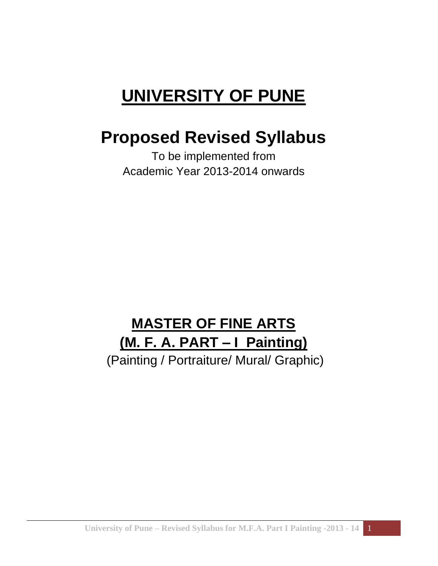# **UNIVERSITY OF PUNE**

## **Proposed Revised Syllabus**

To be implemented from Academic Year 2013-2014 onwards

## **MASTER OF FINE ARTS (M. F. A. PART – I Painting)**

(Painting / Portraiture/ Mural/ Graphic)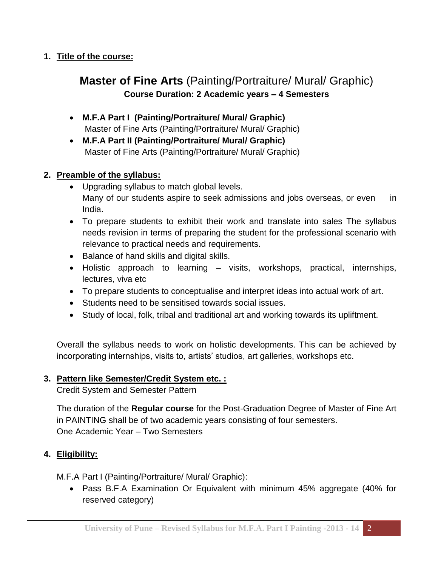#### **1. Title of the course:**

### **Master of Fine Arts** (Painting/Portraiture/ Mural/ Graphic) **Course Duration: 2 Academic years – 4 Semesters**

- **M.F.A Part I (Painting/Portraiture/ Mural/ Graphic)** Master of Fine Arts (Painting/Portraiture/ Mural/ Graphic)
- **M.F.A Part II (Painting/Portraiture/ Mural/ Graphic)** Master of Fine Arts (Painting/Portraiture/ Mural/ Graphic)

#### **2. Preamble of the syllabus:**

- Upgrading syllabus to match global levels. Many of our students aspire to seek admissions and jobs overseas, or even in India.
- To prepare students to exhibit their work and translate into sales The syllabus needs revision in terms of preparing the student for the professional scenario with relevance to practical needs and requirements.
- Balance of hand skills and digital skills.
- Holistic approach to learning visits, workshops, practical, internships, lectures, viva etc
- To prepare students to conceptualise and interpret ideas into actual work of art.
- Students need to be sensitised towards social issues.
- Study of local, folk, tribal and traditional art and working towards its upliftment.

Overall the syllabus needs to work on holistic developments. This can be achieved by incorporating internships, visits to, artists' studios, art galleries, workshops etc.

#### **3. Pattern like Semester/Credit System etc. :**

Credit System and Semester Pattern

The duration of the **Regular course** for the Post-Graduation Degree of Master of Fine Art in PAINTING shall be of two academic years consisting of four semesters. One Academic Year – Two Semesters

#### **4. Eligibility:**

M.F.A Part I (Painting/Portraiture/ Mural/ Graphic):

 Pass B.F.A Examination Or Equivalent with minimum 45% aggregate (40% for reserved category)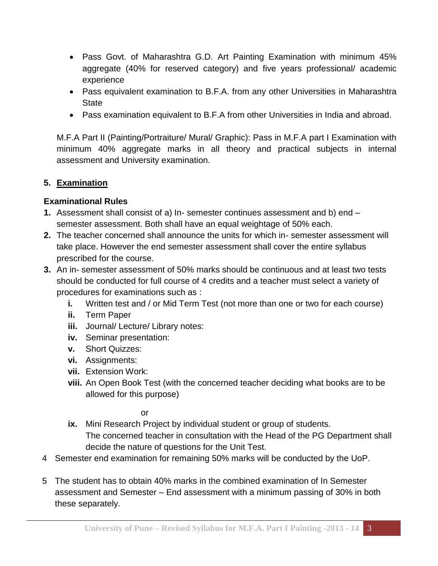- Pass Govt. of Maharashtra G.D. Art Painting Examination with minimum 45% aggregate (40% for reserved category) and five years professional/ academic experience
- Pass equivalent examination to B.F.A. from any other Universities in Maharashtra **State**
- Pass examination equivalent to B.F.A from other Universities in India and abroad.

M.F.A Part II (Painting/Portraiture/ Mural/ Graphic): Pass in M.F.A part I Examination with minimum 40% aggregate marks in all theory and practical subjects in internal assessment and University examination.

#### **5. Examination**

#### **Examinational Rules**

- **1.** Assessment shall consist of a) In- semester continues assessment and b) end semester assessment. Both shall have an equal weightage of 50% each.
- **2.** The teacher concerned shall announce the units for which in- semester assessment will take place. However the end semester assessment shall cover the entire syllabus prescribed for the course.
- **3.** An in- semester assessment of 50% marks should be continuous and at least two tests should be conducted for full course of 4 credits and a teacher must select a variety of procedures for examinations such as :
	- **i.** Written test and / or Mid Term Test (not more than one or two for each course)
	- **ii.** Term Paper
	- **iii.** Journal/ Lecture/ Library notes:
	- **iv.** Seminar presentation:
	- **v.** Short Quizzes:
	- **vi.** Assignments:
	- **vii.** Extension Work:
	- **viii.** An Open Book Test (with the concerned teacher deciding what books are to be allowed for this purpose)

or

- **ix.** Mini Research Project by individual student or group of students. The concerned teacher in consultation with the Head of the PG Department shall decide the nature of questions for the Unit Test.
- 4 Semester end examination for remaining 50% marks will be conducted by the UoP.
- 5 The student has to obtain 40% marks in the combined examination of In Semester assessment and Semester – End assessment with a minimum passing of 30% in both these separately.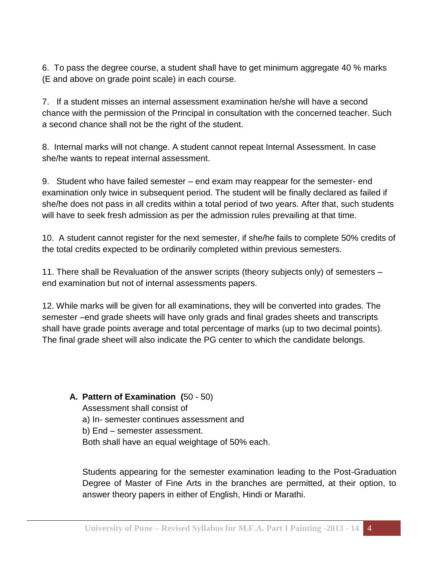6. To pass the degree course, a student shall have to get minimum aggregate 40 % marks (E and above on grade point scale) in each course.

7. If a student misses an internal assessment examination he/she will have a second chance with the permission of the Principal in consultation with the concerned teacher. Such a second chance shall not be the right of the student.

8. Internal marks will not change. A student cannot repeat Internal Assessment. In case she/he wants to repeat internal assessment.

9. Student who have failed semester – end exam may reappear for the semester- end examination only twice in subsequent period. The student will be finally declared as failed if she/he does not pass in all credits within a total period of two years. After that, such students will have to seek fresh admission as per the admission rules prevailing at that time.

10. A student cannot register for the next semester, if she/he fails to complete 50% credits of the total credits expected to be ordinarily completed within previous semesters.

11. There shall be Revaluation of the answer scripts (theory subjects only) of semesters – end examination but not of internal assessments papers.

12. While marks will be given for all examinations, they will be converted into grades. The semester –end grade sheets will have only grads and final grades sheets and transcripts shall have grade points average and total percentage of marks (up to two decimal points). The final grade sheet will also indicate the PG center to which the candidate belongs.

#### **A. Pattern of Examination (**50 - 50)

Assessment shall consist of a) In- semester continues assessment and b) End – semester assessment. Both shall have an equal weightage of 50% each.

Students appearing for the semester examination leading to the Post-Graduation Degree of Master of Fine Arts in the branches are permitted, at their option, to answer theory papers in either of English, Hindi or Marathi.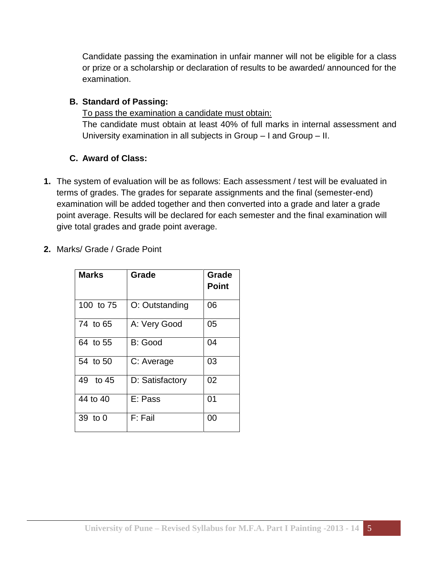Candidate passing the examination in unfair manner will not be eligible for a class or prize or a scholarship or declaration of results to be awarded/ announced for the examination.

#### **B. Standard of Passing:**

To pass the examination a candidate must obtain: The candidate must obtain at least 40% of full marks in internal assessment and University examination in all subjects in Group – I and Group – II.

#### **C. Award of Class:**

- **1.** The system of evaluation will be as follows: Each assessment / test will be evaluated in terms of grades. The grades for separate assignments and the final (semester-end) examination will be added together and then converted into a grade and later a grade point average. Results will be declared for each semester and the final examination will give total grades and grade point average.
- **2.** Marks/ Grade / Grade Point

| <b>Marks</b> | Grade           | Grade        |
|--------------|-----------------|--------------|
|              |                 | <b>Point</b> |
| 100 to 75    | O: Outstanding  | 06           |
| 74 to 65     | A: Very Good    | 05           |
| 64 to 55     | B: Good         | 04           |
| 54 to 50     | C: Average      | 03           |
| 49 to 45     | D: Satisfactory | 02           |
| 44 to 40     | E: Pass         | 01           |
| 39 to 0      | F: Fail         | 00           |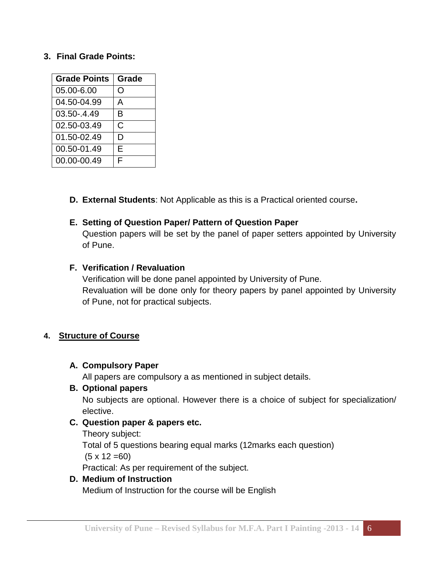#### **3. Final Grade Points:**

| <b>Grade Points</b> | Grade |
|---------------------|-------|
| 05.00-6.00          | O     |
| 04.50-04.99         | А     |
| 03.50-.4.49         | в     |
| 02.50-03.49         | C     |
| 01.50-02.49         | D     |
| 00.50-01.49         | E     |
| 00.00-00.49         | F     |

**D. External Students**: Not Applicable as this is a Practical oriented course**.**

#### **E. Setting of Question Paper/ Pattern of Question Paper**

Question papers will be set by the panel of paper setters appointed by University of Pune.

#### **F. Verification / Revaluation**

Verification will be done panel appointed by University of Pune. Revaluation will be done only for theory papers by panel appointed by University of Pune, not for practical subjects.

#### **4. Structure of Course**

#### **A. Compulsory Paper**

All papers are compulsory a as mentioned in subject details.

#### **B. Optional papers**

No subjects are optional. However there is a choice of subject for specialization/ elective.

#### **C. Question paper & papers etc.**

Theory subject: Total of 5 questions bearing equal marks (12marks each question)  $(5 \times 12 = 60)$ Practical: As per requirement of the subject.

#### **D. Medium of Instruction**

Medium of Instruction for the course will be English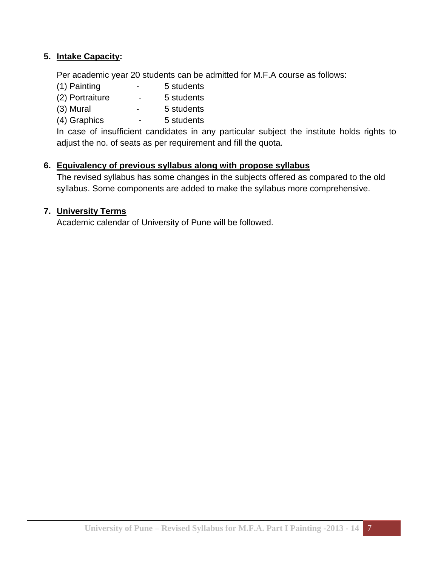#### **5. Intake Capacity:**

Per academic year 20 students can be admitted for M.F.A course as follows:

- (1) Painting 5 students
- (2) Portraiture 5 students
- (3) Mural 5 students
- (4) Graphics 5 students

In case of insufficient candidates in any particular subject the institute holds rights to adjust the no. of seats as per requirement and fill the quota.

#### **6. Equivalency of previous syllabus along with propose syllabus**

The revised syllabus has some changes in the subjects offered as compared to the old syllabus. Some components are added to make the syllabus more comprehensive.

#### **7. University Terms**

Academic calendar of University of Pune will be followed.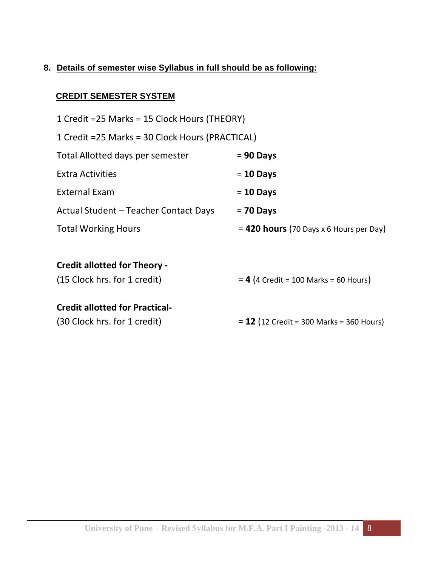#### **8. Details of semester wise Syllabus in full should be as following:**

#### **CREDIT SEMESTER SYSTEM**

| 1 Credit = 25 Marks = 15 Clock Hours (THEORY)    |                                            |
|--------------------------------------------------|--------------------------------------------|
| 1 Credit = 25 Marks = 30 Clock Hours (PRACTICAL) |                                            |
| Total Allotted days per semester                 | $= 90$ Days                                |
| <b>Extra Activities</b>                          | $= 10$ Days                                |
| <b>External Exam</b>                             | $= 10$ Days                                |
| Actual Student – Teacher Contact Days            | $= 70$ Days                                |
| <b>Total Working Hours</b>                       | $= 420$ hours (70 Days x 6 Hours per Day)  |
|                                                  |                                            |
| <b>Credit allotted for Theory -</b>              |                                            |
| (15 Clock hrs. for 1 credit)                     | $= 4$ (4 Credit = 100 Marks = 60 Hours)    |
| <b>Credit allotted for Practical-</b>            |                                            |
| (30 Clock hrs. for 1 credit)                     | $= 12$ (12 Credit = 300 Marks = 360 Hours) |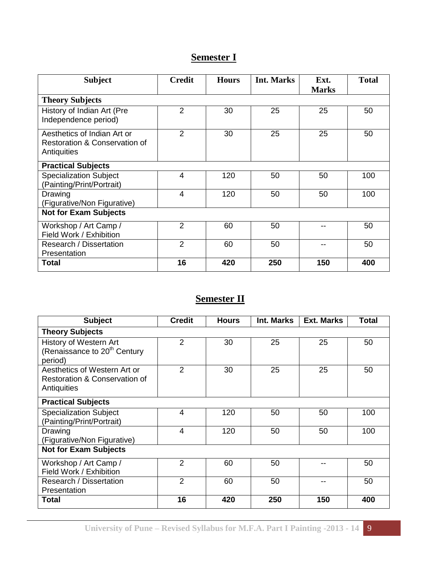## **Semester I**

| <b>Subject</b>                                                              | <b>Credit</b>    | <b>Hours</b> | Int. Marks | Ext.<br><b>Marks</b> | <b>Total</b> |
|-----------------------------------------------------------------------------|------------------|--------------|------------|----------------------|--------------|
| <b>Theory Subjects</b>                                                      |                  |              |            |                      |              |
| History of Indian Art (Pre<br>Independence period)                          | $\overline{2}$   | 30           | 25         | 25                   | 50           |
| Aesthetics of Indian Art or<br>Restoration & Conservation of<br>Antiquities | $\overline{2}$   | 30           | 25         | 25                   | 50           |
| <b>Practical Subjects</b>                                                   |                  |              |            |                      |              |
| <b>Specialization Subject</b><br>(Painting/Print/Portrait)                  | $\boldsymbol{4}$ | 120          | 50         | 50                   | 100          |
| Drawing<br>(Figurative/Non Figurative)                                      | $\overline{4}$   | 120          | 50         | 50                   | 100          |
| <b>Not for Exam Subjects</b>                                                |                  |              |            |                      |              |
| Workshop / Art Camp /<br>Field Work / Exhibition                            | 2                | 60           | 50         |                      | 50           |
| Research / Dissertation<br>Presentation                                     | $\overline{2}$   | 60           | 50         |                      | 50           |
| <b>Total</b>                                                                | 16               | 420          | 250        | 150                  | 400          |

## **Semester II**

| <b>Subject</b>                                                                | <b>Credit</b>  | <b>Hours</b> | Int. Marks | <b>Ext. Marks</b> | Total |
|-------------------------------------------------------------------------------|----------------|--------------|------------|-------------------|-------|
| <b>Theory Subjects</b>                                                        |                |              |            |                   |       |
| History of Western Art<br>(Renaissance to 20 <sup>th</sup> Century<br>period) | $\overline{2}$ | 30           | 25         | 25                | 50    |
| Aesthetics of Western Art or<br>Restoration & Conservation of<br>Antiquities  | 2              | 30           | 25         | 25                | 50    |
| <b>Practical Subjects</b>                                                     |                |              |            |                   |       |
| <b>Specialization Subject</b><br>(Painting/Print/Portrait)                    | 4              | 120          | 50         | 50                | 100   |
| Drawing<br>(Figurative/Non Figurative)                                        | $\overline{4}$ | 120          | 50         | 50                | 100   |
| <b>Not for Exam Subjects</b>                                                  |                |              |            |                   |       |
| Workshop / Art Camp /<br>Field Work / Exhibition                              | $\overline{2}$ | 60           | 50         |                   | 50    |
| Research / Dissertation<br>Presentation                                       | $\overline{2}$ | 60           | 50         |                   | 50    |
| <b>Total</b>                                                                  | 16             | 420          | 250        | 150               | 400   |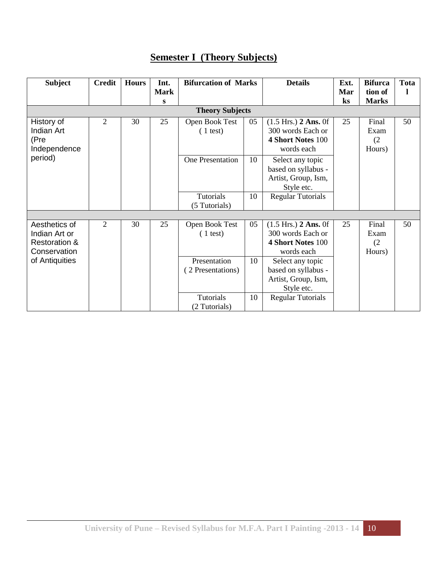## **Semester I (Theory Subjects)**

| <b>Subject</b>                                                             | <b>Credit</b> | <b>Hours</b> | Int.<br><b>Mark</b> | <b>Bifurcation of Marks</b>                                     |          | <b>Details</b>                                                                                           | Ext.<br>Mar | <b>Bifurca</b><br>tion of      | <b>Tota</b> |
|----------------------------------------------------------------------------|---------------|--------------|---------------------|-----------------------------------------------------------------|----------|----------------------------------------------------------------------------------------------------------|-------------|--------------------------------|-------------|
|                                                                            |               |              | S                   |                                                                 |          |                                                                                                          | $\bf ks$    | <b>Marks</b>                   |             |
|                                                                            |               |              |                     |                                                                 |          |                                                                                                          |             |                                |             |
| History of<br><b>Indian Art</b><br>(Pre<br>Independence                    | 2             | 30           | 25                  | Open Book Test<br>$(1 \text{ test})$                            | 05       | $(1.5 \text{ Hrs.})$ 2 Ans. 0f<br>300 words Each or<br>4 Short Notes 100<br>words each                   | 25          | Final<br>Exam<br>(2)<br>Hours) | 50          |
| period)                                                                    |               |              |                     | <b>One Presentation</b>                                         | 10       | Select any topic<br>based on syllabus -<br>Artist, Group, Ism,<br>Style etc.                             |             |                                |             |
|                                                                            |               |              |                     | <b>Tutorials</b><br>(5 Tutorials)                               | 10       | <b>Regular Tutorials</b>                                                                                 |             |                                |             |
|                                                                            |               |              |                     |                                                                 |          |                                                                                                          |             |                                |             |
| Aesthetics of<br>Indian Art or<br><b>Restoration &amp;</b><br>Conservation | 2             | 30           | 25                  | Open Book Test<br>$(1 \text{ test})$                            | 05       | $(1.5 \text{ Hrs.})$ 2 Ans. 0f<br>300 words Each or<br><b>4 Short Notes 100</b><br>words each            | 25          | Final<br>Exam<br>(2)<br>Hours) | 50          |
| of Antiquities                                                             |               |              |                     | Presentation<br>(2 Presentations)<br>Tutorials<br>(2 Tutorials) | 10<br>10 | Select any topic<br>based on syllabus -<br>Artist, Group, Ism,<br>Style etc.<br><b>Regular Tutorials</b> |             |                                |             |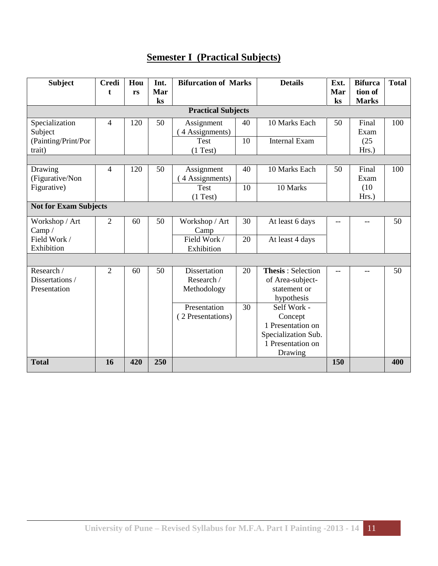## **Semester I (Practical Subjects)**

| <b>Subject</b>                                             | <b>Credi</b><br>t | Hou<br>rs | Int.<br>Mar<br>$\mathbf{k}$ s | <b>Bifurcation of Marks</b>                      |          | <b>Details</b>                                                                                     | Ext.<br>Mar<br>$\mathbf{k}$ s | <b>Bifurca</b><br>tion of<br><b>Marks</b> | <b>Total</b> |
|------------------------------------------------------------|-------------------|-----------|-------------------------------|--------------------------------------------------|----------|----------------------------------------------------------------------------------------------------|-------------------------------|-------------------------------------------|--------------|
|                                                            |                   |           |                               | <b>Practical Subjects</b>                        |          |                                                                                                    |                               |                                           |              |
| Specialization<br>Subject<br>(Painting/Print/Por<br>trait) | 4                 | 120       | 50                            | Assignment<br>4 Assignments)<br>Test<br>(1 Test) | 40<br>10 | 10 Marks Each<br><b>Internal Exam</b>                                                              | 50                            | Final<br>Exam<br>(25)<br>Hrs.)            | 100          |
|                                                            |                   |           |                               |                                                  |          |                                                                                                    |                               |                                           |              |
| Drawing<br>(Figurative/Non                                 | 4                 | 120       | 50                            | Assignment<br>4 Assignments)                     | 40       | 10 Marks Each                                                                                      | 50                            | Final<br>Exam                             | 100          |
| Figurative)                                                |                   |           |                               | Test<br>(1 Test)                                 | 10       | 10 Marks                                                                                           |                               | (10)<br>Hrs.)                             |              |
| <b>Not for Exam Subjects</b>                               |                   |           |                               |                                                  |          |                                                                                                    |                               |                                           |              |
| Workshop / Art<br>Camp $/$                                 | $\overline{2}$    | 60        | 50                            | Workshop / Art<br>Camp                           | 30       | At least 6 days                                                                                    | $-$                           | $-$                                       | 50           |
| Field Work /<br>Exhibition                                 |                   |           |                               | Field Work /<br>Exhibition                       | 20       | At least 4 days                                                                                    |                               |                                           |              |
|                                                            |                   |           |                               |                                                  |          |                                                                                                    |                               |                                           |              |
| Research /<br>Dissertations /<br>Presentation              | $\overline{2}$    | 60        | 50                            | <b>Dissertation</b><br>Research /<br>Methodology | 20       | <b>Thesis: Selection</b><br>of Area-subject-<br>statement or<br>hypothesis                         | $-$                           | $-$                                       | 50           |
|                                                            |                   |           |                               | Presentation<br>(2 Presentations)                | 30       | Self Work -<br>Concept<br>1 Presentation on<br>Specialization Sub.<br>1 Presentation on<br>Drawing |                               |                                           |              |
| <b>Total</b>                                               | 16                | 420       | 250                           |                                                  |          |                                                                                                    | 150                           |                                           | 400          |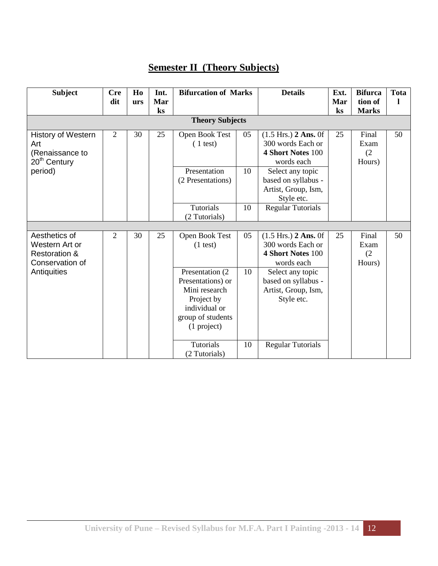## **Semester II (Theory Subjects)**

| <b>Subject</b>                                                                  | <b>Cre</b><br>dit | H <sub>0</sub><br>urs | Int.<br>Mar | <b>Bifurcation of Marks</b>                                                                                               |    | <b>Details</b>                                                                                | Ext.<br>Mar    | <b>Bifurca</b><br>tion of      | <b>Tota</b><br>1 |
|---------------------------------------------------------------------------------|-------------------|-----------------------|-------------|---------------------------------------------------------------------------------------------------------------------------|----|-----------------------------------------------------------------------------------------------|----------------|--------------------------------|------------------|
|                                                                                 |                   |                       | ks          | <b>Theory Subjects</b>                                                                                                    |    |                                                                                               | $\mathbf{k}$ s | <b>Marks</b>                   |                  |
|                                                                                 |                   |                       |             |                                                                                                                           |    |                                                                                               |                |                                |                  |
| <b>History of Western</b><br>Art<br>(Renaissance to<br>20 <sup>th</sup> Century | $\overline{2}$    | 30                    | 25          | Open Book Test<br>$(1 \text{ test})$                                                                                      | 05 | $(1.5 \text{ Hrs.})$ 2 Ans. 0f<br>300 words Each or<br><b>4 Short Notes 100</b><br>words each | 25             | Final<br>Exam<br>(2)<br>Hours) | 50               |
| period)                                                                         |                   |                       |             | Presentation<br>(2 Presentations)                                                                                         | 10 | Select any topic<br>based on syllabus -<br>Artist, Group, Ism,<br>Style etc.                  |                |                                |                  |
|                                                                                 |                   |                       |             | <b>Tutorials</b><br>(2 Tutorials)                                                                                         | 10 | <b>Regular Tutorials</b>                                                                      |                |                                |                  |
|                                                                                 |                   |                       |             |                                                                                                                           |    |                                                                                               |                |                                |                  |
| Aesthetics of                                                                   | $\overline{2}$    | 30                    | 25          | Open Book Test                                                                                                            | 05 | $(1.5 \text{ Hrs.})$ 2 Ans. 0f                                                                | 25             | Final                          | 50               |
| Western Art or                                                                  |                   |                       |             | $(1$ test)                                                                                                                |    | 300 words Each or<br><b>4 Short Notes 100</b>                                                 |                | Exam                           |                  |
| <b>Restoration &amp;</b>                                                        |                   |                       |             |                                                                                                                           |    |                                                                                               |                | (2)                            |                  |
| Conservation of<br>Antiquities                                                  |                   |                       |             | Presentation (2)<br>Presentations) or<br>Mini research<br>Project by<br>individual or<br>group of students<br>(1 project) | 10 | words each<br>Select any topic<br>based on syllabus -<br>Artist, Group, Ism,<br>Style etc.    |                | Hours)                         |                  |
|                                                                                 |                   |                       |             | <b>Tutorials</b><br>(2 Tutorials)                                                                                         | 10 | <b>Regular Tutorials</b>                                                                      |                |                                |                  |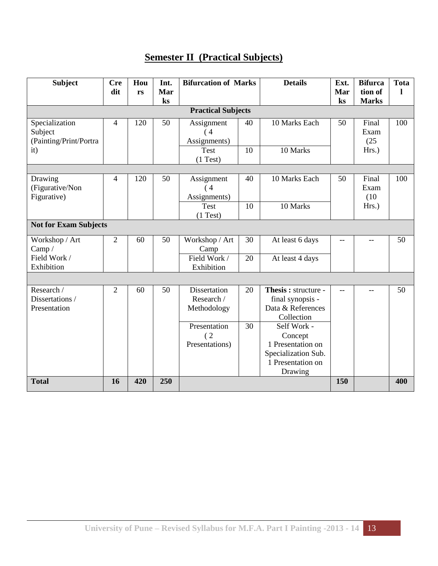## **Semester II (Practical Subjects)**

| <b>Subject</b>                                      | <b>Cre</b><br>dit | Hou<br>rs | Int.<br>Mar<br>ks | <b>Bifurcation of Marks</b>                      |    | <b>Details</b>                                                                                     | Ext.<br>Mar<br>$\mathbf{k}$ s | <b>Bifurca</b><br>tion of<br><b>Marks</b> | <b>Tota</b><br>1 |
|-----------------------------------------------------|-------------------|-----------|-------------------|--------------------------------------------------|----|----------------------------------------------------------------------------------------------------|-------------------------------|-------------------------------------------|------------------|
|                                                     |                   |           |                   | <b>Practical Subjects</b>                        |    |                                                                                                    |                               |                                           |                  |
|                                                     |                   |           |                   |                                                  |    |                                                                                                    |                               |                                           |                  |
| Specialization<br>Subject<br>(Painting/Print/Portra | 4                 | 120       | 50                | Assignment<br>$\overline{4}$<br>Assignments)     | 40 | 10 Marks Each                                                                                      | 50                            | Final<br>Exam<br>(25)                     | 100              |
| it)                                                 |                   |           |                   | <b>Test</b><br>(1 Test)                          | 10 | 10 Marks                                                                                           |                               | Hrs.)                                     |                  |
|                                                     |                   |           |                   |                                                  |    |                                                                                                    |                               |                                           |                  |
| Drawing<br>(Figurative/Non<br>Figurative)           | 4                 | 120       | 50                | Assignment<br>(4)<br>Assignments)                | 40 | 10 Marks Each                                                                                      | 50                            | Final<br>Exam<br>(10)                     | 100              |
|                                                     |                   |           |                   | Test<br>(1 Test)                                 | 10 | 10 Marks                                                                                           |                               | Hrs.)                                     |                  |
| <b>Not for Exam Subjects</b>                        |                   |           |                   |                                                  |    |                                                                                                    |                               |                                           |                  |
| Workshop / Art<br>Camp $/$                          | $\overline{2}$    | 60        | 50                | Workshop / Art<br>Camp                           | 30 | At least 6 days                                                                                    |                               | $-$                                       | 50               |
| Field Work /<br>Exhibition                          |                   |           |                   | Field Work /<br>Exhibition                       | 20 | At least 4 days                                                                                    |                               |                                           |                  |
|                                                     |                   |           |                   |                                                  |    |                                                                                                    |                               |                                           |                  |
| Research /<br>Dissertations /<br>Presentation       | $\overline{2}$    | 60        | 50                | <b>Dissertation</b><br>Research /<br>Methodology | 20 | Thesis: structure -<br>final synopsis -<br>Data & References<br>Collection                         | $-$                           | $-$                                       | 50               |
|                                                     |                   |           |                   | Presentation<br>(2)<br>Presentations)            | 30 | Self Work -<br>Concept<br>1 Presentation on<br>Specialization Sub.<br>1 Presentation on<br>Drawing |                               |                                           |                  |
| <b>Total</b>                                        | 16                | 420       | 250               |                                                  |    |                                                                                                    | 150                           |                                           | 400              |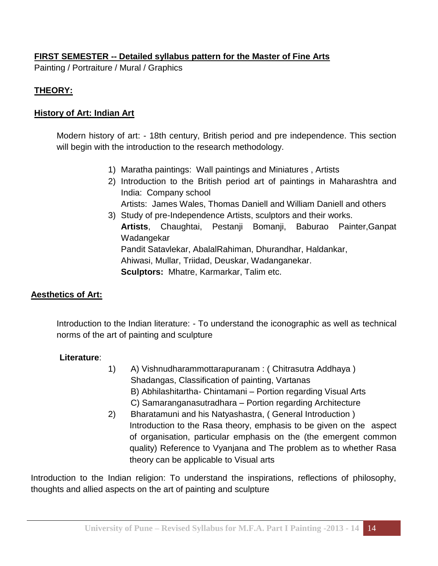#### **FIRST SEMESTER -- Detailed syllabus pattern for the Master of Fine Arts**

Painting / Portraiture / Mural / Graphics

#### **THEORY:**

#### **History of Art: Indian Art**

Modern history of art: - 18th century, British period and pre independence. This section will begin with the introduction to the research methodology.

- 1) Maratha paintings: Wall paintings and Miniatures , Artists
- 2) Introduction to the British period art of paintings in Maharashtra and India: Company school Artists: James Wales, Thomas Daniell and William Daniell and others
- 3) Study of pre-Independence Artists, sculptors and their works. **Artists**, Chaughtai, Pestanji Bomanji, Baburao Painter,Ganpat Wadangekar Pandit Satavlekar, AbalalRahiman, Dhurandhar, Haldankar, Ahiwasi, Mullar, Triidad, Deuskar, Wadanganekar. **Sculptors:** Mhatre, Karmarkar, Talim etc.

#### **Aesthetics of Art:**

Introduction to the Indian literature: - To understand the iconographic as well as technical norms of the art of painting and sculpture

#### **Literature**:

- 1) A) Vishnudharammottarapuranam : ( Chitrasutra Addhaya ) Shadangas, Classification of painting, Vartanas B) Abhilashitartha- Chintamani – Portion regarding Visual Arts C) Samaranganasutradhara – Portion regarding Architecture
- 2) Bharatamuni and his Natyashastra, ( General Introduction ) Introduction to the Rasa theory, emphasis to be given on the aspect of organisation, particular emphasis on the (the emergent common quality) Reference to Vyanjana and The problem as to whether Rasa theory can be applicable to Visual arts

Introduction to the Indian religion: To understand the inspirations, reflections of philosophy, thoughts and allied aspects on the art of painting and sculpture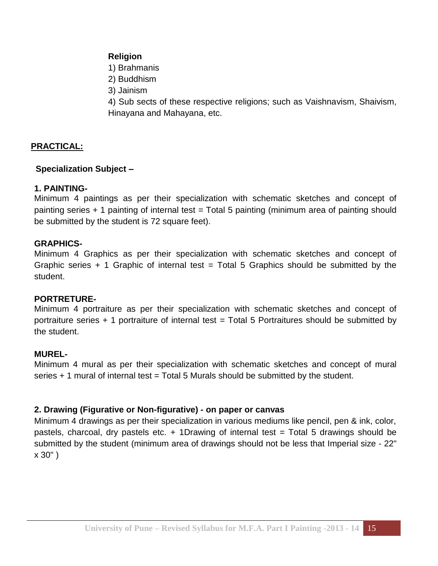#### **Religion**

- 1) Brahmanis
- 2) Buddhism
- 3) Jainism

4) Sub sects of these respective religions; such as Vaishnavism, Shaivism, Hinayana and Mahayana, etc.

#### **PRACTICAL:**

#### **Specialization Subject –**

#### **1. PAINTING-**

Minimum 4 paintings as per their specialization with schematic sketches and concept of painting series + 1 painting of internal test = Total 5 painting (minimum area of painting should be submitted by the student is 72 square feet).

#### **GRAPHICS-**

Minimum 4 Graphics as per their specialization with schematic sketches and concept of Graphic series + 1 Graphic of internal test = Total 5 Graphics should be submitted by the student.

#### **PORTRETURE-**

Minimum 4 portraiture as per their specialization with schematic sketches and concept of portraiture series  $+$  1 portraiture of internal test = Total 5 Portraitures should be submitted by the student.

#### **MUREL-**

Minimum 4 mural as per their specialization with schematic sketches and concept of mural series  $+1$  mural of internal test  $=$  Total 5 Murals should be submitted by the student.

#### **2. Drawing (Figurative or Non-figurative) - on paper or canvas**

Minimum 4 drawings as per their specialization in various mediums like pencil, pen & ink, color, pastels, charcoal, dry pastels etc. + 1Drawing of internal test = Total 5 drawings should be submitted by the student (minimum area of drawings should not be less that Imperial size - 22" x 30" )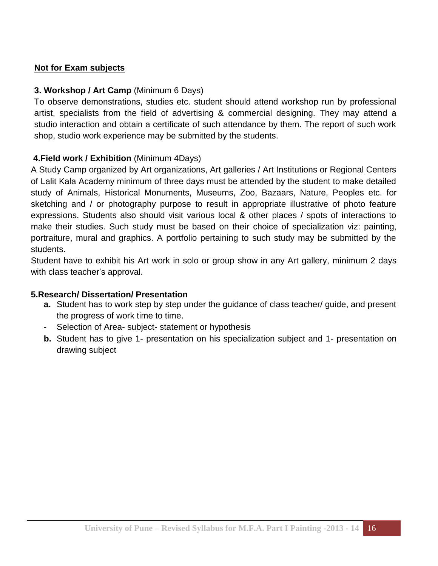#### **Not for Exam subjects**

#### **3. Workshop / Art Camp** (Minimum 6 Days)

To observe demonstrations, studies etc. student should attend workshop run by professional artist, specialists from the field of advertising & commercial designing. They may attend a studio interaction and obtain a certificate of such attendance by them. The report of such work shop, studio work experience may be submitted by the students.

#### **4.Field work / Exhibition** (Minimum 4Days)

A Study Camp organized by Art organizations, Art galleries / Art Institutions or Regional Centers of Lalit Kala Academy minimum of three days must be attended by the student to make detailed study of Animals, Historical Monuments, Museums, Zoo, Bazaars, Nature, Peoples etc. for sketching and / or photography purpose to result in appropriate illustrative of photo feature expressions. Students also should visit various local & other places / spots of interactions to make their studies. Such study must be based on their choice of specialization viz: painting, portraiture, mural and graphics. A portfolio pertaining to such study may be submitted by the students.

Student have to exhibit his Art work in solo or group show in any Art gallery, minimum 2 days with class teacher's approval.

#### **5.Research/ Dissertation/ Presentation**

- **a.** Student has to work step by step under the guidance of class teacher/ guide, and present the progress of work time to time.
- Selection of Area- subject- statement or hypothesis
- **b.** Student has to give 1- presentation on his specialization subject and 1- presentation on drawing subject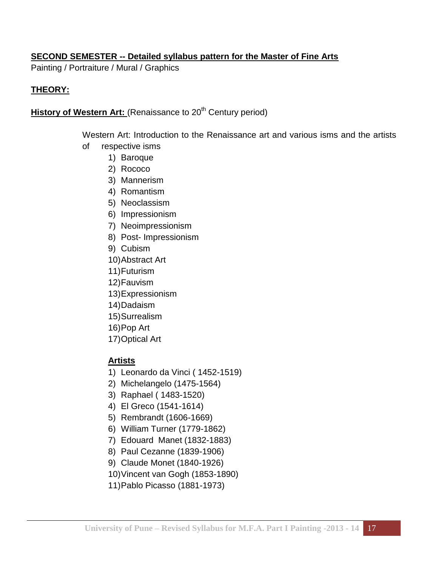#### **SECOND SEMESTER -- Detailed syllabus pattern for the Master of Fine Arts**

Painting / Portraiture / Mural / Graphics

#### **THEORY:**

**History of Western Art:** (Renaissance to 20<sup>th</sup> Century period)

Western Art: Introduction to the Renaissance art and various isms and the artists of respective isms

- 1) Baroque
- 2) Rococo
- 3) Mannerism
- 4) Romantism
- 5) Neoclassism
- 6) Impressionism
- 7) Neoimpressionism
- 8) Post- Impressionism
- 9) Cubism
- 10)Abstract Art
- 11)Futurism
- 12)Fauvism
- 13)Expressionism
- 14)Dadaism
- 15)Surrealism
- 16)Pop Art
- 17)Optical Art

#### **Artists**

- 1) Leonardo da Vinci ( 1452-1519)
- 2) Michelangelo (1475-1564)
- 3) Raphael ( 1483-1520)
- 4) El Greco (1541-1614)
- 5) Rembrandt (1606-1669)
- 6) William Turner (1779-1862)
- 7) Edouard Manet (1832-1883)
- 8) Paul Cezanne (1839-1906)
- 9) Claude Monet (1840-1926)
- 10)Vincent van Gogh (1853-1890)
- 11)Pablo Picasso (1881-1973)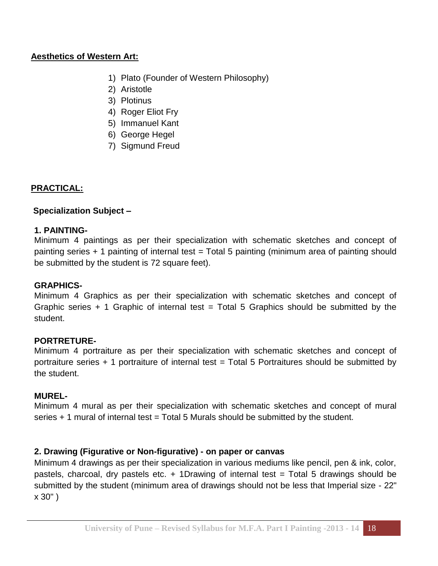#### **Aesthetics of Western Art:**

- 1) Plato (Founder of Western Philosophy)
- 2) Aristotle
- 3) Plotinus
- 4) Roger Eliot Fry
- 5) Immanuel Kant
- 6) George Hegel
- 7) Sigmund Freud

#### **PRACTICAL:**

#### **Specialization Subject –**

#### **1. PAINTING-**

Minimum 4 paintings as per their specialization with schematic sketches and concept of painting series + 1 painting of internal test = Total 5 painting (minimum area of painting should be submitted by the student is 72 square feet).

#### **GRAPHICS-**

Minimum 4 Graphics as per their specialization with schematic sketches and concept of Graphic series  $+$  1 Graphic of internal test = Total 5 Graphics should be submitted by the student.

#### **PORTRETURE-**

Minimum 4 portraiture as per their specialization with schematic sketches and concept of portraiture series  $+$  1 portraiture of internal test = Total 5 Portraitures should be submitted by the student.

#### **MUREL-**

Minimum 4 mural as per their specialization with schematic sketches and concept of mural series  $+1$  mural of internal test  $=$  Total 5 Murals should be submitted by the student.

#### **2. Drawing (Figurative or Non-figurative) - on paper or canvas**

Minimum 4 drawings as per their specialization in various mediums like pencil, pen & ink, color, pastels, charcoal, dry pastels etc. + 1Drawing of internal test = Total 5 drawings should be submitted by the student (minimum area of drawings should not be less that Imperial size - 22" x 30" )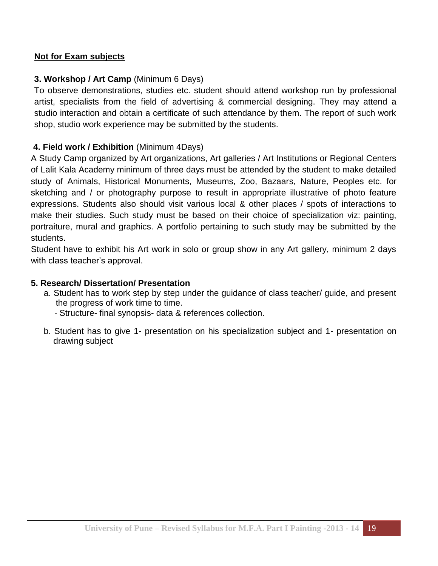#### **Not for Exam subjects**

#### **3. Workshop / Art Camp** (Minimum 6 Days)

To observe demonstrations, studies etc. student should attend workshop run by professional artist, specialists from the field of advertising & commercial designing. They may attend a studio interaction and obtain a certificate of such attendance by them. The report of such work shop, studio work experience may be submitted by the students.

#### **4. Field work / Exhibition** (Minimum 4Days)

A Study Camp organized by Art organizations, Art galleries / Art Institutions or Regional Centers of Lalit Kala Academy minimum of three days must be attended by the student to make detailed study of Animals, Historical Monuments, Museums, Zoo, Bazaars, Nature, Peoples etc. for sketching and / or photography purpose to result in appropriate illustrative of photo feature expressions. Students also should visit various local & other places / spots of interactions to make their studies. Such study must be based on their choice of specialization viz: painting, portraiture, mural and graphics. A portfolio pertaining to such study may be submitted by the students.

Student have to exhibit his Art work in solo or group show in any Art gallery, minimum 2 days with class teacher's approval.

#### **5. Research/ Dissertation/ Presentation**

- a. Student has to work step by step under the guidance of class teacher/ guide, and present the progress of work time to time.
	- Structure- final synopsis- data & references collection.
- b. Student has to give 1- presentation on his specialization subject and 1- presentation on drawing subject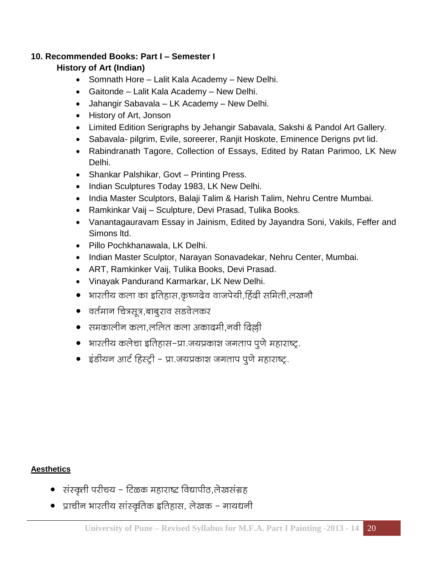#### **10. Recommended Books: Part I – Semester I**

#### **History of Art (Indian)**

- Somnath Hore Lalit Kala Academy New Delhi.
- Gaitonde Lalit Kala Academy New Delhi.
- Jahangir Sabavala LK Academy New Delhi.
- History of Art, Jonson
- Limited Edition Serigraphs by Jehangir Sabavala, Sakshi & Pandol Art Gallery.
- Sabavala- pilgrim, Evile, soreerer, Ranjit Hoskote, Eminence Derigns pvt lid.
- Rabindranath Tagore, Collection of Essays, Edited by Ratan Parimoo, LK New Delhi.
- Shankar Palshikar, Govt Printing Press.
- Indian Sculptures Today 1983, LK New Delhi.
- India Master Sculptors, Balaji Talim & Harish Talim, Nehru Centre Mumbai.
- Ramkinkar Vaij Sculpture, Devi Prasad, Tulika Books.
- Vanantagauravam Essay in Jainism, Edited by Jayandra Soni, Vakils, Feffer and Simons ltd.
- Pillo Pochkhanawala, LK Delhi.
- Indian Master Sculptor, Narayan Sonavadekar, Nehru Center, Mumbai.
- ART, Ramkinker Vaij, Tulika Books, Devi Prasad.
- Vinayak Pandurand Karmarkar, LK New Delhi.
- भारतीय कला का इतिहास,कृष्णदेव वाजपेयी,हिंदी समिती,लखनौ
- वर्तमान चित्रसूत्र,बाबूराव सडवेलकर
- समकालीन कला,ललित कला अकादमी,नवी दिल्ली
- भारतीय कलेचा इतिहास–प्रा.जयप्रकाश जगताप पूणे महाराष्ट्र.
- इंडीयन आर्ट हिस्ट्री प्रा.जयप्रकाश जगताप पूणे महाराष्ट्र.

#### **Aesthetics**

- संस्कृती परीचय टिळक महाराष्ट्र विद्यापीठ,लेखसंग्रह
- प्राचीन भारतीय सांस्कृतिक इतिहास, लेखक गायधनी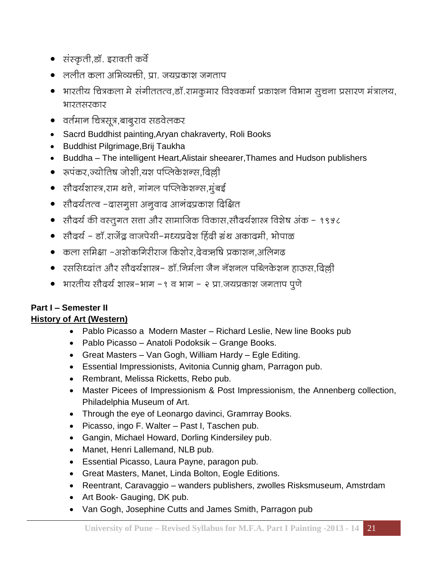- संस्कृती,डॉ. इरावती कर्वे
- ललीत कला अभिव्यक्ती, प्रा. जयप्रकाश जगताप
- भारतीय चित्रकला मे संगीततत्व,डॉ.रामकूमार विश्वकर्मा प्रकाशन विभाग सूचना प्रसारण मंत्रालय, भारतसरकार
- वर्तमान चित्रसूत्र,बाबुराव सडवेलकर
- Sacrd Buddhist painting,Aryan chakraverty, Roli Books
- Buddhist Pilgrimage,Brij Taukha
- Buddha The intelligent Heart, Alistair sheearer, Thames and Hudson publishers
- 
- सौदर्यशास्त्र,राम थत्ते, गांगल पप्लिकेशन्स,मुंबई
- सौदर्यतत्व –दासगूप्ता अनुवाद आनंदप्रकाश दिक्षित
- सौदर्य की वस्तूगत सत्ता और सामाजिक विकास,सौदर्यशास्त्र विशेष अंक १९५८
- सौदर्य डॉ.राजेंद्ध वाजपेयी-मध्यप्रदेश हिंदी ग्रंथ अकादमी, भोपाळ
- कला समिक्षा –अशोकगिरीराज किशोर,देवऋषि प्रकाशन,अलिगढ
- रससिध्दांत और सौदर्यशास्त्र- डॉ.निर्मला जैन नॅशनल पब्लिकेशन हाऊस,दिल्ली
- भारतीय सौदर्य शास्त्र-भाग १ व भाग २ प्रा.जयप्रकाश जगताप पूणे

## **Part I – Semester II**

#### **History of Art (Western)** • Pablo Picasso a Modern Master – Richard Leslie, New line Books pub

- Pablo Picasso Anatoli Podoksik Grange Books.
- Great Masters Van Gogh, William Hardy Egle Editing.
- Essential Impressionists, Avitonia Cunnig gham, Parragon pub.
- Rembrant, Melissa Ricketts, Rebo pub.
- Master Picees of Impressionism & Post Impressionism, the Annenberg collection, Philadelphia Museum of Art.
- Through the eye of Leonargo davinci, Gramrray Books.
- Picasso, ingo F. Walter Past I, Taschen pub.
- Gangin, Michael Howard, Dorling Kindersiley pub.
- Manet, Henri Lallemand, NLB pub.
- Essential Picasso, Laura Payne, paragon pub.
- Great Masters, Manet, Linda Bolton, Eogle Editions.
- Reentrant, Caravaggio wanders publishers, zwolles Risksmuseum, Amstrdam
- Art Book- Gauging, DK pub.
- Van Gogh, Josephine Cutts and James Smith, Parragon pub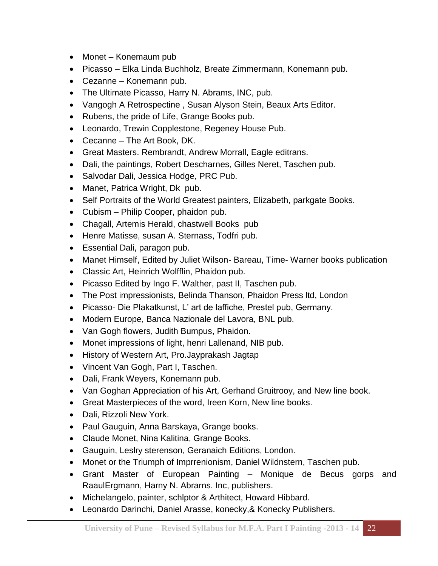- Monet Konemaum pub
- Picasso Elka Linda Buchholz, Breate Zimmermann, Konemann pub.
- Cezanne Konemann pub.
- The Ultimate Picasso, Harry N. Abrams, INC, pub.
- Vangogh A Retrospectine , Susan Alyson Stein, Beaux Arts Editor.
- Rubens, the pride of Life, Grange Books pub.
- Leonardo, Trewin Copplestone, Regeney House Pub.
- Cecanne The Art Book, DK.
- Great Masters. Rembrandt, Andrew Morrall, Eagle editrans.
- Dali, the paintings, Robert Descharnes, Gilles Neret, Taschen pub.
- Salvodar Dali, Jessica Hodge, PRC Pub.
- Manet, Patrica Wright, Dk pub.
- Self Portraits of the World Greatest painters, Elizabeth, parkgate Books.
- Cubism Philip Cooper, phaidon pub.
- Chagall, Artemis Herald, chastwell Books pub
- Henre Matisse, susan A. Sternass, Todfri pub.
- Essential Dali, paragon pub.
- Manet Himself, Edited by Juliet Wilson- Bareau, Time- Warner books publication
- Classic Art, Heinrich Wolfflin, Phaidon pub.
- Picasso Edited by Ingo F. Walther, past II, Taschen pub.
- The Post impressionists, Belinda Thanson, Phaidon Press ltd, London
- Picasso- Die Plakatkunst, L' art de laffiche, Prestel pub, Germany.
- Modern Europe, Banca Nazionale del Lavora, BNL pub.
- Van Gogh flowers, Judith Bumpus, Phaidon.
- Monet impressions of light, henri Lallenand, NIB pub.
- History of Western Art, Pro.Jayprakash Jagtap
- Vincent Van Gogh, Part I, Taschen.
- Dali, Frank Weyers, Konemann pub.
- Van Goghan Appreciation of his Art, Gerhand Gruitrooy, and New line book.
- Great Masterpieces of the word, Ireen Korn, New line books.
- Dali, Rizzoli New York.
- Paul Gauguin, Anna Barskaya, Grange books.
- Claude Monet, Nina Kalitina, Grange Books.
- Gauguin, Leslry sterenson, Geranaich Editions, London.
- Monet or the Triumph of Imprrenionism, Daniel Wildnstern, Taschen pub.
- Grant Master of European Painting Monique de Becus gorps and RaaulErgmann, Harny N. Abrarns. Inc, publishers.
- Michelangelo, painter, schlptor & Arthitect, Howard Hibbard.
- Leonardo Darinchi, Daniel Arasse, konecky,& Konecky Publishers.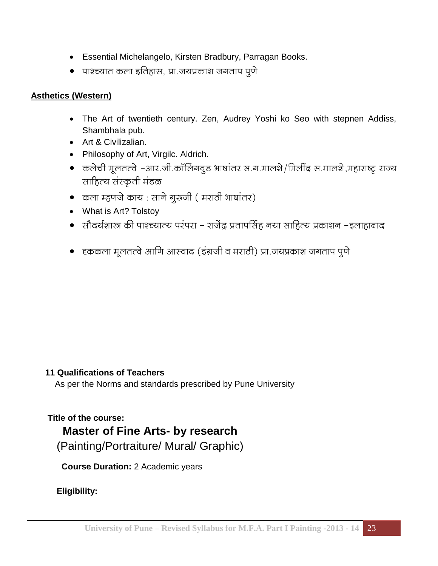- Essential Michelangelo, Kirsten Bradbury, Parragan Books.
- पाश्च्यात कला इतिहास, प्रा.जयप्रकाश जगताप पूणे

#### **Asthetics (Western)**

- The Art of twentieth century. Zen, Audrey Yoshi ko Seo with stepnen Addiss, Shambhala pub.
- Art & Civilizalian.
- Philosophy of Art, Virgilc. Aldrich.
- कलेची मूलतत्वे –आर.जी.कॉलिंगवूड भाषांतर स.ग.मालशे/मिलींद स.मालशे,महाराष्ट्र राज्य साहित्य संस्कृती मंडळ
- कला म्हणजे काय : साने गूरुजी ( मराठी भाषांतर)
- What is Art? Tolstoy
- सौदर्यशास्त्र की पाश्च्यात्य परंपरा राजेंद्र प्रतापसिंह नया साहित्य प्रकाशन –इलाहाबाद
- हककला मूलतत्वे आणि आस्वाद (इंग्रजी व मराठी) प्रा जयप्रकाश जगताप पूणे

#### **11 Qualifications of Teachers**

As per the Norms and standards prescribed by Pune University

#### **Title of the course:**

### **Master of Fine Arts- by research**

(Painting/Portraiture/ Mural/ Graphic)

 **Course Duration:** 2 Academic years

**Eligibility:**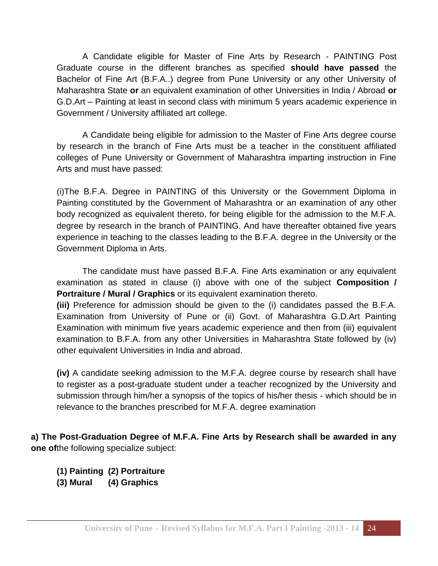A Candidate eligible for Master of Fine Arts by Research - PAINTING Post Graduate course in the different branches as specified **should have passed** the Bachelor of Fine Art (B.F.A..) degree from Pune University or any other University of Maharashtra State **or** an equivalent examination of other Universities in India / Abroad **or**  G.D.Art – Painting at least in second class with minimum 5 years academic experience in Government / University affiliated art college.

A Candidate being eligible for admission to the Master of Fine Arts degree course by research in the branch of Fine Arts must be a teacher in the constituent affiliated colleges of Pune University or Government of Maharashtra imparting instruction in Fine Arts and must have passed:

(i)The B.F.A. Degree in PAINTING of this University or the Government Diploma in Painting constituted by the Government of Maharashtra or an examination of any other body recognized as equivalent thereto, for being eligible for the admission to the M.F.A. degree by research in the branch of PAINTING. And have thereafter obtained five years experience in teaching to the classes leading to the B.F.A. degree in the University or the Government Diploma in Arts.

The candidate must have passed B.F.A. Fine Arts examination or any equivalent examination as stated in clause (i) above with one of the subject **Composition / Portraiture / Mural / Graphics** or its equivalent examination thereto.

**(iii)** Preference for admission should be given to the (i) candidates passed the B.F.A. Examination from University of Pune or (ii) Govt. of Maharashtra G.D.Art Painting Examination with minimum five years academic experience and then from (iii) equivalent examination to B.F.A. from any other Universities in Maharashtra State followed by (iv) other equivalent Universities in India and abroad.

**(iv)** A candidate seeking admission to the M.F.A. degree course by research shall have to register as a post-graduate student under a teacher recognized by the University and submission through him/her a synopsis of the topics of his/her thesis - which should be in relevance to the branches prescribed for M.F.A. degree examination

**a) The Post-Graduation Degree of M.F.A. Fine Arts by Research shall be awarded in any one of**the following specialize subject:

- **(1) Painting (2) Portraiture**
- **(3) Mural (4) Graphics**